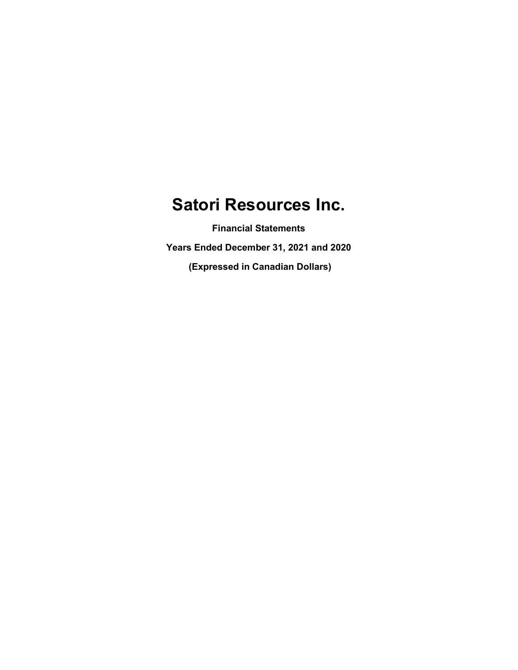Financial Statements Years Ended December 31, 2021 and 2020

(Expressed in Canadian Dollars)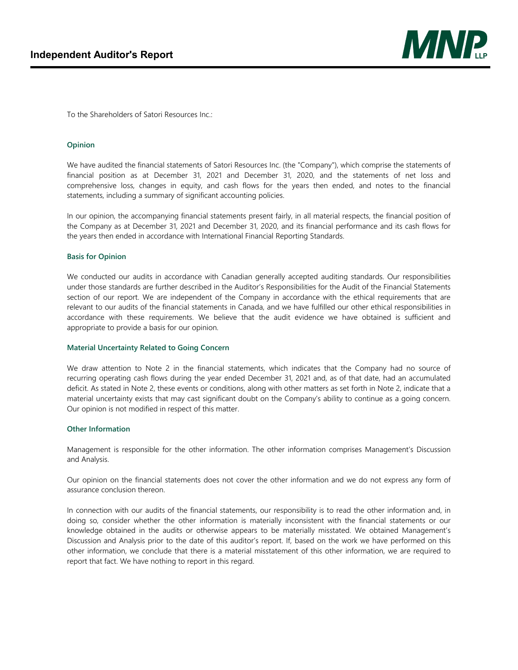

To the Shareholders of Satori Resources Inc.:

#### **Opinion**

We have audited the financial statements of Satori Resources Inc. (the "Company"), which comprise the statements of financial position as at December 31, 2021 and December 31, 2020, and the statements of net loss and comprehensive loss, changes in equity, and cash flows for the years then ended, and notes to the financial statements, including a summary of significant accounting policies.

In our opinion, the accompanying financial statements present fairly, in all material respects, the financial position of the Company as at December 31, 2021 and December 31, 2020, and its financial performance and its cash flows for the years then ended in accordance with International Financial Reporting Standards.

#### **Basis for Opinion**

We conducted our audits in accordance with Canadian generally accepted auditing standards. Our responsibilities under those standards are further described in the Auditor's Responsibilities for the Audit of the Financial Statements section of our report. We are independent of the Company in accordance with the ethical requirements that are relevant to our audits of the financial statements in Canada, and we have fulfilled our other ethical responsibilities in accordance with these requirements. We believe that the audit evidence we have obtained is sufficient and appropriate to provide a basis for our opinion.

#### **Material Uncertainty Related to Going Concern**

We draw attention to Note 2 in the financial statements, which indicates that the Company had no source of recurring operating cash flows during the year ended December 31, 2021 and, as of that date, had an accumulated deficit. As stated in Note 2, these events or conditions, along with other matters as set forth in Note 2, indicate that a material uncertainty exists that may cast significant doubt on the Company's ability to continue as a going concern. Our opinion is not modified in respect of this matter.

#### **Other Information**

Management is responsible for the other information. The other information comprises Management's Discussion and Analysis.

Our opinion on the financial statements does not cover the other information and we do not express any form of assurance conclusion thereon.

In connection with our audits of the financial statements, our responsibility is to read the other information and, in doing so, consider whether the other information is materially inconsistent with the financial statements or our knowledge obtained in the audits or otherwise appears to be materially misstated. We obtained Management's Discussion and Analysis prior to the date of this auditor's report. If, based on the work we have performed on this other information, we conclude that there is a material misstatement of this other information, we are required to report that fact. We have nothing to report in this regard.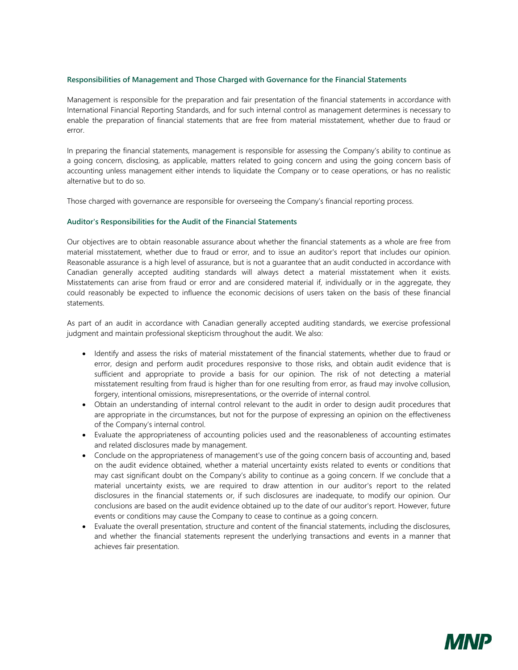#### **Responsibilities of Management and Those Charged with Governance for the Financial Statements**

Management is responsible for the preparation and fair presentation of the financial statements in accordance with International Financial Reporting Standards, and for such internal control as management determines is necessary to enable the preparation of financial statements that are free from material misstatement, whether due to fraud or error.

In preparing the financial statements, management is responsible for assessing the Company's ability to continue as a going concern, disclosing, as applicable, matters related to going concern and using the going concern basis of accounting unless management either intends to liquidate the Company or to cease operations, or has no realistic alternative but to do so.

Those charged with governance are responsible for overseeing the Company's financial reporting process.

#### **Auditor's Responsibilities for the Audit of the Financial Statements**

Our objectives are to obtain reasonable assurance about whether the financial statements as a whole are free from material misstatement, whether due to fraud or error, and to issue an auditor's report that includes our opinion. Reasonable assurance is a high level of assurance, but is not a guarantee that an audit conducted in accordance with Canadian generally accepted auditing standards will always detect a material misstatement when it exists. Misstatements can arise from fraud or error and are considered material if, individually or in the aggregate, they could reasonably be expected to influence the economic decisions of users taken on the basis of these financial statements.

As part of an audit in accordance with Canadian generally accepted auditing standards, we exercise professional judgment and maintain professional skepticism throughout the audit. We also:

- Identify and assess the risks of material misstatement of the financial statements, whether due to fraud or error, design and perform audit procedures responsive to those risks, and obtain audit evidence that is sufficient and appropriate to provide a basis for our opinion. The risk of not detecting a material misstatement resulting from fraud is higher than for one resulting from error, as fraud may involve collusion, forgery, intentional omissions, misrepresentations, or the override of internal control.
- Obtain an understanding of internal control relevant to the audit in order to design audit procedures that are appropriate in the circumstances, but not for the purpose of expressing an opinion on the effectiveness of the Company's internal control.
- Evaluate the appropriateness of accounting policies used and the reasonableness of accounting estimates and related disclosures made by management.
- Conclude on the appropriateness of management's use of the going concern basis of accounting and, based on the audit evidence obtained, whether a material uncertainty exists related to events or conditions that may cast significant doubt on the Company's ability to continue as a going concern. If we conclude that a material uncertainty exists, we are required to draw attention in our auditor's report to the related disclosures in the financial statements or, if such disclosures are inadequate, to modify our opinion. Our conclusions are based on the audit evidence obtained up to the date of our auditor's report. However, future events or conditions may cause the Company to cease to continue as a going concern.
- Evaluate the overall presentation, structure and content of the financial statements, including the disclosures, and whether the financial statements represent the underlying transactions and events in a manner that achieves fair presentation.

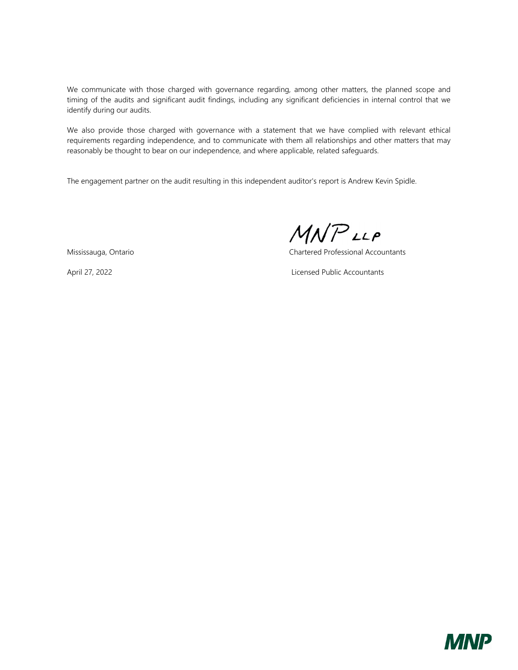We communicate with those charged with governance regarding, among other matters, the planned scope and timing of the audits and significant audit findings, including any significant deficiencies in internal control that we identify during our audits.

We also provide those charged with governance with a statement that we have complied with relevant ethical requirements regarding independence, and to communicate with them all relationships and other matters that may reasonably be thought to bear on our independence, and where applicable, related safeguards.

The engagement partner on the audit resulting in this independent auditor's report is Andrew Kevin Spidle.

Mississauga, Ontario Chartered Professional Accountants

April 27, 2022 Licensed Public Accountants

MNPLLP

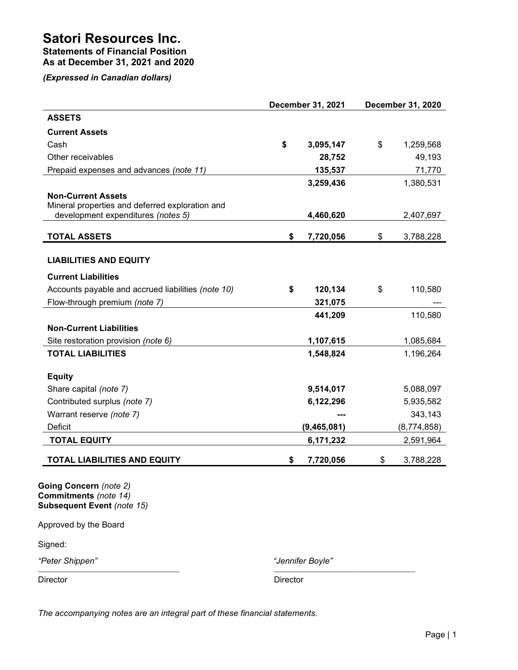Statements of Financial Position As at December 31, 2021 and 2020

(Expressed in Canadian dollars)

|                                                                                                                          | December 31, 2021 | December 31, 2020 |
|--------------------------------------------------------------------------------------------------------------------------|-------------------|-------------------|
| <b>ASSETS</b>                                                                                                            |                   |                   |
| <b>Current Assets</b>                                                                                                    |                   |                   |
| Cash                                                                                                                     | \$<br>3,095,147   | \$<br>1,259,568   |
| Other receivables                                                                                                        | 28,752            | 49,193            |
| Prepaid expenses and advances (note 11)                                                                                  | 135,537           | 71,770            |
|                                                                                                                          | 3,259,436         | 1,380,531         |
| <b>Non-Current Assets</b>                                                                                                |                   |                   |
| Mineral properties and deferred exploration and                                                                          |                   |                   |
| development expenditures (notes 5)                                                                                       | 4,460,620         | 2,407,697         |
| <b>TOTAL ASSETS</b>                                                                                                      | \$<br>7,720,056   | \$<br>3,788,228   |
| <b>LIABILITIES AND EQUITY</b>                                                                                            |                   |                   |
|                                                                                                                          |                   |                   |
| <b>Current Liabilities</b>                                                                                               |                   |                   |
| Accounts payable and accrued liabilities (note 10)                                                                       | \$<br>120,134     | \$<br>110,580     |
| Flow-through premium (note 7)                                                                                            | 321,075           |                   |
|                                                                                                                          | 441,209           | 110,580           |
| <b>Non-Current Liabilities</b>                                                                                           |                   |                   |
| Site restoration provision (note 6)                                                                                      | 1,107,615         | 1,085,684         |
| <b>TOTAL LIABILITIES</b>                                                                                                 | 1,548,824         | 1,196,264         |
| <b>Equity</b>                                                                                                            |                   |                   |
| Share capital (note 7)                                                                                                   | 9,514,017         | 5,088,097         |
| Contributed surplus (note 7)                                                                                             | 6,122,296         | 5,935,582         |
| Warrant reserve (note 7)                                                                                                 |                   | 343,143           |
| Deficit                                                                                                                  | (9,465,081)       | (8,774,858)       |
| <b>TOTAL EQUITY</b>                                                                                                      | 6,171,232         | 2,591,964         |
| <b>TOTAL LIABILITIES AND EQUITY</b>                                                                                      | \$<br>7,720,056   | \$<br>3,788,228   |
| <b>Going Concern</b> (note 2)<br>Commitments (note 14)<br>Subsequent Event (note 15)<br>Approved by the Board<br>Signed: |                   |                   |
|                                                                                                                          |                   |                   |

"Peter Shippen" "Jennifer Boyle"

Director Director

 $\mathcal{L}_\mathcal{L} = \{ \mathcal{L}_\mathcal{L} = \{ \mathcal{L}_\mathcal{L} = \{ \mathcal{L}_\mathcal{L} = \{ \mathcal{L}_\mathcal{L} = \{ \mathcal{L}_\mathcal{L} = \{ \mathcal{L}_\mathcal{L} = \{ \mathcal{L}_\mathcal{L} = \{ \mathcal{L}_\mathcal{L} = \{ \mathcal{L}_\mathcal{L} = \{ \mathcal{L}_\mathcal{L} = \{ \mathcal{L}_\mathcal{L} = \{ \mathcal{L}_\mathcal{L} = \{ \mathcal{L}_\mathcal{L} = \{ \mathcal{L}_\mathcal{$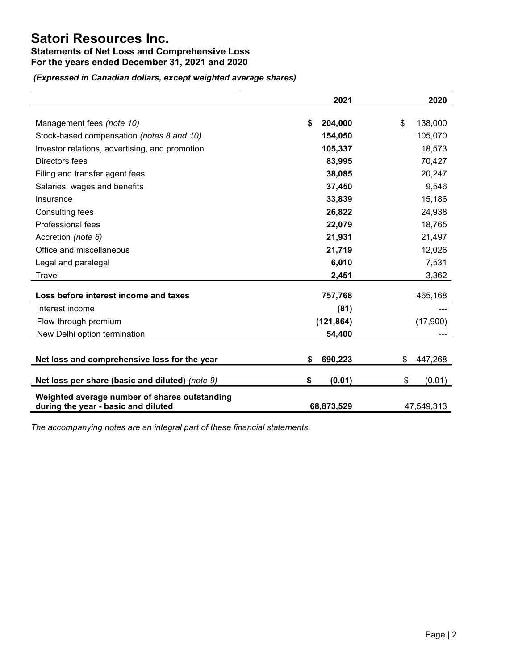## Statements of Net Loss and Comprehensive Loss For the years ended December 31, 2021 and 2020

(Expressed in Canadian dollars, except weighted average shares)

|                                                                                      | 2021          | 2020          |
|--------------------------------------------------------------------------------------|---------------|---------------|
| Management fees (note 10)                                                            | \$<br>204,000 | \$<br>138,000 |
| Stock-based compensation (notes 8 and 10)                                            | 154,050       | 105,070       |
| Investor relations, advertising, and promotion                                       | 105,337       | 18,573        |
| Directors fees                                                                       | 83,995        | 70,427        |
| Filing and transfer agent fees                                                       | 38,085        | 20,247        |
| Salaries, wages and benefits                                                         | 37,450        | 9,546         |
| Insurance                                                                            | 33,839        | 15,186        |
| <b>Consulting fees</b>                                                               | 26,822        | 24,938        |
| Professional fees                                                                    | 22,079        | 18,765        |
| Accretion (note 6)                                                                   | 21,931        | 21,497        |
| Office and miscellaneous                                                             | 21,719        | 12,026        |
| Legal and paralegal                                                                  | 6,010         | 7,531         |
| Travel                                                                               | 2,451         | 3,362         |
| Loss before interest income and taxes                                                | 757,768       | 465,168       |
| Interest income                                                                      | (81)          |               |
| Flow-through premium                                                                 | (121, 864)    | (17,900)      |
| New Delhi option termination                                                         | 54,400        |               |
| Net loss and comprehensive loss for the year                                         | 690,223<br>S  | \$<br>447,268 |
| Net loss per share (basic and diluted) (note 9)                                      | \$<br>(0.01)  | \$<br>(0.01)  |
| Weighted average number of shares outstanding<br>during the year - basic and diluted | 68,873,529    | 47,549,313    |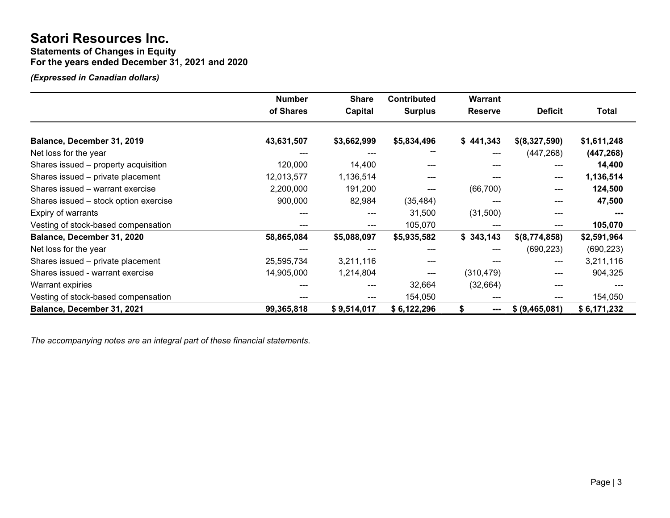Statements of Changes in Equity

For the years ended December 31, 2021 and 2020

(Expressed in Canadian dollars)

|                                       | <b>Number</b> | <b>Share</b> | <b>Contributed</b> | <b>Warrant</b> |                |              |
|---------------------------------------|---------------|--------------|--------------------|----------------|----------------|--------------|
|                                       | of Shares     | Capital      | <b>Surplus</b>     | <b>Reserve</b> | <b>Deficit</b> | <b>Total</b> |
| Balance, December 31, 2019            | 43,631,507    | \$3,662,999  | \$5,834,496        | \$441,343      | \$(8,327,590)  | \$1,611,248  |
|                                       |               |              |                    |                |                |              |
| Net loss for the year                 |               |              |                    | ---            | (447, 268)     | (447, 268)   |
| Shares issued – property acquisition  | 120,000       | 14,400       |                    | ---            | ---            | 14,400       |
| Shares issued – private placement     | 12,013,577    | 1,136,514    | ---                |                | ---            | 1,136,514    |
| Shares issued - warrant exercise      | 2,200,000     | 191,200      | ---                | (66, 700)      | ---            | 124,500      |
| Shares issued – stock option exercise | 900,000       | 82,984       | (35, 484)          |                | ---            | 47,500       |
| Expiry of warrants                    |               | ---          | 31,500             | (31,500)       | ---            |              |
| Vesting of stock-based compensation   |               | ---          | 105,070            |                |                | 105,070      |
| Balance, December 31, 2020            | 58,865,084    | \$5,088,097  | \$5,935,582        | \$343,143      | \$(8,774,858)  | \$2,591,964  |
| Net loss for the year                 |               |              | ---                | ---            | (690, 223)     | (690, 223)   |
| Shares issued – private placement     | 25,595,734    | 3,211,116    |                    |                | ---            | 3,211,116    |
| Shares issued - warrant exercise      | 14,905,000    | 1,214,804    | $---$              | (310, 479)     | ---            | 904,325      |
| <b>Warrant expiries</b>               |               | ---          | 32,664             | (32, 664)      | ---            |              |
| Vesting of stock-based compensation   |               |              | 154,050            |                |                | 154,050      |
| Balance, December 31, 2021            | 99,365,818    | \$9,514,017  | \$6,122,296        | S<br>---       | \$ (9,465,081) | \$6,171,232  |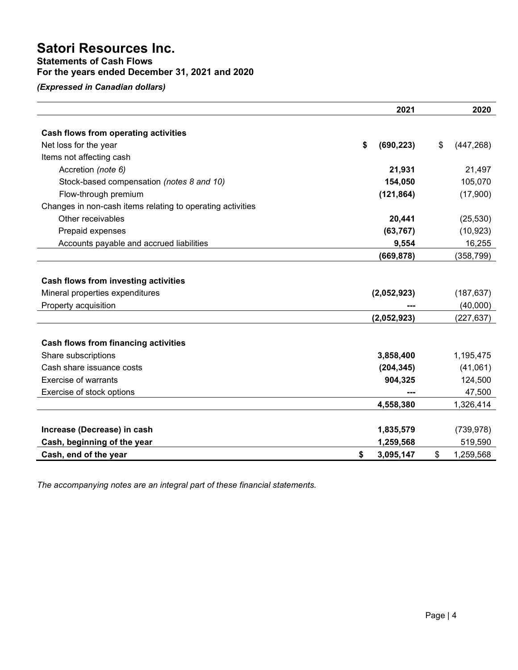Statements of Cash Flows

## For the years ended December 31, 2021 and 2020

(Expressed in Canadian dollars)

|                                                            | 2021             | 2020             |
|------------------------------------------------------------|------------------|------------------|
|                                                            |                  |                  |
| Cash flows from operating activities                       |                  |                  |
| Net loss for the year                                      | \$<br>(690, 223) | \$<br>(447, 268) |
| Items not affecting cash                                   |                  |                  |
| Accretion (note 6)                                         | 21,931           | 21,497           |
| Stock-based compensation (notes 8 and 10)                  | 154,050          | 105,070          |
| Flow-through premium                                       | (121, 864)       | (17,900)         |
| Changes in non-cash items relating to operating activities |                  |                  |
| Other receivables                                          | 20,441           | (25, 530)        |
| Prepaid expenses                                           | (63, 767)        | (10, 923)        |
| Accounts payable and accrued liabilities                   | 9,554            | 16,255           |
|                                                            | (669, 878)       | (358, 799)       |
|                                                            |                  |                  |
| Cash flows from investing activities                       |                  |                  |
| Mineral properties expenditures                            | (2,052,923)      | (187, 637)       |
| Property acquisition                                       |                  | (40,000)         |
|                                                            | (2,052,923)      | (227, 637)       |
|                                                            |                  |                  |
| <b>Cash flows from financing activities</b>                |                  |                  |
| Share subscriptions                                        | 3,858,400        | 1,195,475        |
| Cash share issuance costs                                  | (204, 345)       | (41,061)         |
| <b>Exercise of warrants</b>                                | 904,325          | 124,500          |
| Exercise of stock options                                  |                  | 47,500           |
|                                                            | 4,558,380        | 1,326,414        |
|                                                            |                  |                  |
| Increase (Decrease) in cash                                | 1,835,579        | (739, 978)       |
| Cash, beginning of the year                                | 1,259,568        | 519,590          |
| Cash, end of the year                                      | \$<br>3,095,147  | \$<br>1,259,568  |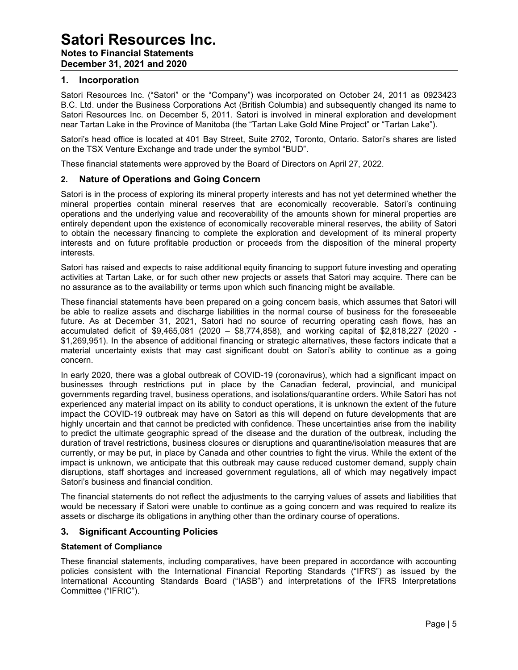## Satori Resources Inc. Notes to Financial Statements December 31, 2021 and 2020

#### 1. Incorporation

Satori Resources Inc. ("Satori" or the "Company") was incorporated on October 24, 2011 as 0923423 B.C. Ltd. under the Business Corporations Act (British Columbia) and subsequently changed its name to Satori Resources Inc. on December 5, 2011. Satori is involved in mineral exploration and development near Tartan Lake in the Province of Manitoba (the "Tartan Lake Gold Mine Project" or "Tartan Lake").

Satori's head office is located at 401 Bay Street, Suite 2702, Toronto, Ontario. Satori's shares are listed on the TSX Venture Exchange and trade under the symbol "BUD".

These financial statements were approved by the Board of Directors on April 27, 2022.

#### 2. Nature of Operations and Going Concern

Satori is in the process of exploring its mineral property interests and has not yet determined whether the mineral properties contain mineral reserves that are economically recoverable. Satori's continuing operations and the underlying value and recoverability of the amounts shown for mineral properties are entirely dependent upon the existence of economically recoverable mineral reserves, the ability of Satori to obtain the necessary financing to complete the exploration and development of its mineral property interests and on future profitable production or proceeds from the disposition of the mineral property interests.

Satori has raised and expects to raise additional equity financing to support future investing and operating activities at Tartan Lake, or for such other new projects or assets that Satori may acquire. There can be no assurance as to the availability or terms upon which such financing might be available.

These financial statements have been prepared on a going concern basis, which assumes that Satori will be able to realize assets and discharge liabilities in the normal course of business for the foreseeable future. As at December 31, 2021, Satori had no source of recurring operating cash flows, has an accumulated deficit of \$9,465,081 (2020 – \$8,774,858), and working capital of \$2,818,227 (2020 - \$1,269,951). In the absence of additional financing or strategic alternatives, these factors indicate that a material uncertainty exists that may cast significant doubt on Satori's ability to continue as a going concern.

In early 2020, there was a global outbreak of COVID-19 (coronavirus), which had a significant impact on businesses through restrictions put in place by the Canadian federal, provincial, and municipal governments regarding travel, business operations, and isolations/quarantine orders. While Satori has not experienced any material impact on its ability to conduct operations, it is unknown the extent of the future impact the COVID-19 outbreak may have on Satori as this will depend on future developments that are highly uncertain and that cannot be predicted with confidence. These uncertainties arise from the inability to predict the ultimate geographic spread of the disease and the duration of the outbreak, including the duration of travel restrictions, business closures or disruptions and quarantine/isolation measures that are currently, or may be put, in place by Canada and other countries to fight the virus. While the extent of the impact is unknown, we anticipate that this outbreak may cause reduced customer demand, supply chain disruptions, staff shortages and increased government regulations, all of which may negatively impact Satori's business and financial condition.

The financial statements do not reflect the adjustments to the carrying values of assets and liabilities that would be necessary if Satori were unable to continue as a going concern and was required to realize its assets or discharge its obligations in anything other than the ordinary course of operations.

### 3. Significant Accounting Policies

#### Statement of Compliance

These financial statements, including comparatives, have been prepared in accordance with accounting policies consistent with the International Financial Reporting Standards ("IFRS") as issued by the International Accounting Standards Board ("IASB") and interpretations of the IFRS Interpretations Committee ("IFRIC").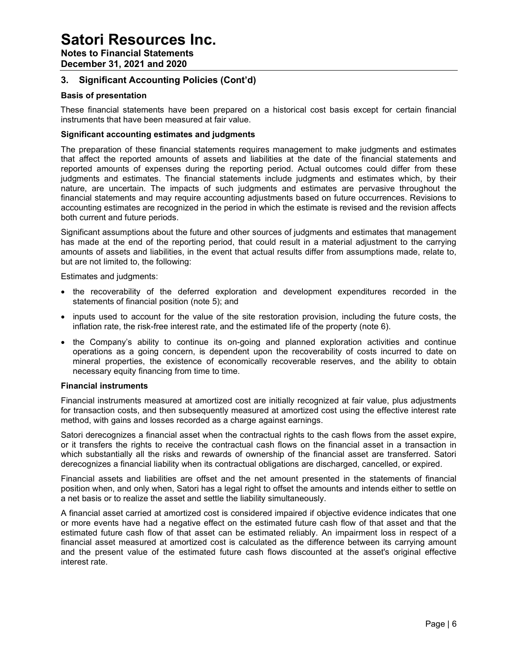## Notes to Financial Statements

December 31, 2021 and 2020

## 3. Significant Accounting Policies (Cont'd)

### Basis of presentation

These financial statements have been prepared on a historical cost basis except for certain financial instruments that have been measured at fair value.

### Significant accounting estimates and judgments

The preparation of these financial statements requires management to make judgments and estimates that affect the reported amounts of assets and liabilities at the date of the financial statements and reported amounts of expenses during the reporting period. Actual outcomes could differ from these judgments and estimates. The financial statements include judgments and estimates which, by their nature, are uncertain. The impacts of such judgments and estimates are pervasive throughout the financial statements and may require accounting adjustments based on future occurrences. Revisions to accounting estimates are recognized in the period in which the estimate is revised and the revision affects both current and future periods.

Significant assumptions about the future and other sources of judgments and estimates that management has made at the end of the reporting period, that could result in a material adjustment to the carrying amounts of assets and liabilities, in the event that actual results differ from assumptions made, relate to, but are not limited to, the following:

Estimates and judgments:

- the recoverability of the deferred exploration and development expenditures recorded in the statements of financial position (note 5); and
- inputs used to account for the value of the site restoration provision, including the future costs, the inflation rate, the risk-free interest rate, and the estimated life of the property (note 6).
- the Company's ability to continue its on-going and planned exploration activities and continue operations as a going concern, is dependent upon the recoverability of costs incurred to date on mineral properties, the existence of economically recoverable reserves, and the ability to obtain necessary equity financing from time to time.

#### Financial instruments

Financial instruments measured at amortized cost are initially recognized at fair value, plus adjustments for transaction costs, and then subsequently measured at amortized cost using the effective interest rate method, with gains and losses recorded as a charge against earnings.

Satori derecognizes a financial asset when the contractual rights to the cash flows from the asset expire, or it transfers the rights to receive the contractual cash flows on the financial asset in a transaction in which substantially all the risks and rewards of ownership of the financial asset are transferred. Satori derecognizes a financial liability when its contractual obligations are discharged, cancelled, or expired.

Financial assets and liabilities are offset and the net amount presented in the statements of financial position when, and only when, Satori has a legal right to offset the amounts and intends either to settle on a net basis or to realize the asset and settle the liability simultaneously.

A financial asset carried at amortized cost is considered impaired if objective evidence indicates that one or more events have had a negative effect on the estimated future cash flow of that asset and that the estimated future cash flow of that asset can be estimated reliably. An impairment loss in respect of a financial asset measured at amortized cost is calculated as the difference between its carrying amount and the present value of the estimated future cash flows discounted at the asset's original effective interest rate.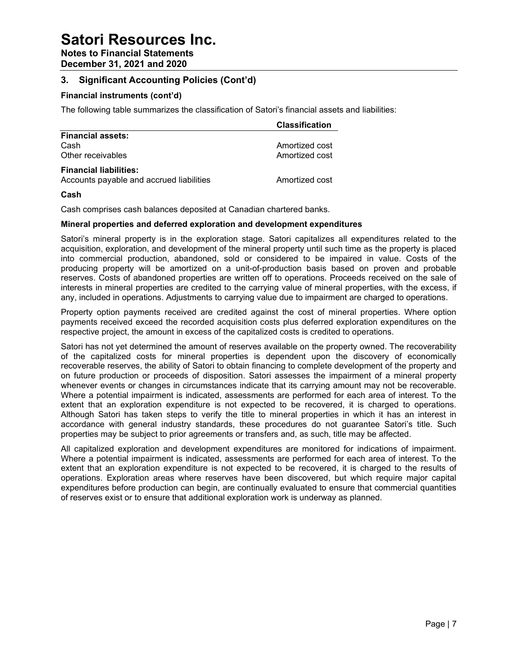Notes to Financial Statements

December 31, 2021 and 2020

## 3. Significant Accounting Policies (Cont'd)

### Financial instruments (cont'd)

The following table summarizes the classification of Satori's financial assets and liabilities:

|                                          | <b>Classification</b> |
|------------------------------------------|-----------------------|
| <b>Financial assets:</b>                 |                       |
| Cash                                     | Amortized cost        |
| Other receivables                        | Amortized cost        |
| <b>Financial liabilities:</b>            |                       |
| Accounts payable and accrued liabilities | Amortized cost        |

### Cash

Cash comprises cash balances deposited at Canadian chartered banks.

#### Mineral properties and deferred exploration and development expenditures

Satori's mineral property is in the exploration stage. Satori capitalizes all expenditures related to the acquisition, exploration, and development of the mineral property until such time as the property is placed into commercial production, abandoned, sold or considered to be impaired in value. Costs of the producing property will be amortized on a unit-of-production basis based on proven and probable reserves. Costs of abandoned properties are written off to operations. Proceeds received on the sale of interests in mineral properties are credited to the carrying value of mineral properties, with the excess, if any, included in operations. Adjustments to carrying value due to impairment are charged to operations.

Property option payments received are credited against the cost of mineral properties. Where option payments received exceed the recorded acquisition costs plus deferred exploration expenditures on the respective project, the amount in excess of the capitalized costs is credited to operations.

Satori has not yet determined the amount of reserves available on the property owned. The recoverability of the capitalized costs for mineral properties is dependent upon the discovery of economically recoverable reserves, the ability of Satori to obtain financing to complete development of the property and on future production or proceeds of disposition. Satori assesses the impairment of a mineral property whenever events or changes in circumstances indicate that its carrying amount may not be recoverable. Where a potential impairment is indicated, assessments are performed for each area of interest. To the extent that an exploration expenditure is not expected to be recovered, it is charged to operations. Although Satori has taken steps to verify the title to mineral properties in which it has an interest in accordance with general industry standards, these procedures do not guarantee Satori's title. Such properties may be subject to prior agreements or transfers and, as such, title may be affected.

All capitalized exploration and development expenditures are monitored for indications of impairment. Where a potential impairment is indicated, assessments are performed for each area of interest. To the extent that an exploration expenditure is not expected to be recovered, it is charged to the results of operations. Exploration areas where reserves have been discovered, but which require major capital expenditures before production can begin, are continually evaluated to ensure that commercial quantities of reserves exist or to ensure that additional exploration work is underway as planned.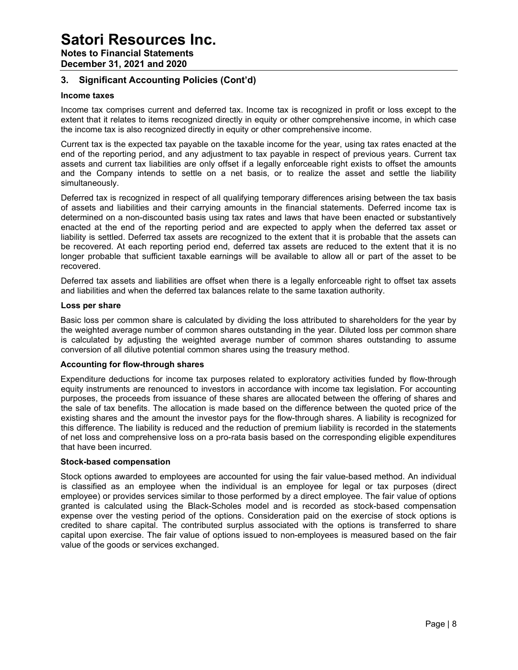Notes to Financial Statements December 31, 2021 and 2020

## 3. Significant Accounting Policies (Cont'd)

#### Income taxes

Income tax comprises current and deferred tax. Income tax is recognized in profit or loss except to the extent that it relates to items recognized directly in equity or other comprehensive income, in which case the income tax is also recognized directly in equity or other comprehensive income.

Current tax is the expected tax payable on the taxable income for the year, using tax rates enacted at the end of the reporting period, and any adjustment to tax payable in respect of previous years. Current tax assets and current tax liabilities are only offset if a legally enforceable right exists to offset the amounts and the Company intends to settle on a net basis, or to realize the asset and settle the liability simultaneously.

Deferred tax is recognized in respect of all qualifying temporary differences arising between the tax basis of assets and liabilities and their carrying amounts in the financial statements. Deferred income tax is determined on a non-discounted basis using tax rates and laws that have been enacted or substantively enacted at the end of the reporting period and are expected to apply when the deferred tax asset or liability is settled. Deferred tax assets are recognized to the extent that it is probable that the assets can be recovered. At each reporting period end, deferred tax assets are reduced to the extent that it is no longer probable that sufficient taxable earnings will be available to allow all or part of the asset to be recovered.

Deferred tax assets and liabilities are offset when there is a legally enforceable right to offset tax assets and liabilities and when the deferred tax balances relate to the same taxation authority.

#### Loss per share

Basic loss per common share is calculated by dividing the loss attributed to shareholders for the year by the weighted average number of common shares outstanding in the year. Diluted loss per common share is calculated by adjusting the weighted average number of common shares outstanding to assume conversion of all dilutive potential common shares using the treasury method.

#### Accounting for flow-through shares

Expenditure deductions for income tax purposes related to exploratory activities funded by flow-through equity instruments are renounced to investors in accordance with income tax legislation. For accounting purposes, the proceeds from issuance of these shares are allocated between the offering of shares and the sale of tax benefits. The allocation is made based on the difference between the quoted price of the existing shares and the amount the investor pays for the flow-through shares. A liability is recognized for this difference. The liability is reduced and the reduction of premium liability is recorded in the statements of net loss and comprehensive loss on a pro-rata basis based on the corresponding eligible expenditures that have been incurred.

#### Stock-based compensation

Stock options awarded to employees are accounted for using the fair value-based method. An individual is classified as an employee when the individual is an employee for legal or tax purposes (direct employee) or provides services similar to those performed by a direct employee. The fair value of options granted is calculated using the Black-Scholes model and is recorded as stock-based compensation expense over the vesting period of the options. Consideration paid on the exercise of stock options is credited to share capital. The contributed surplus associated with the options is transferred to share capital upon exercise. The fair value of options issued to non-employees is measured based on the fair value of the goods or services exchanged.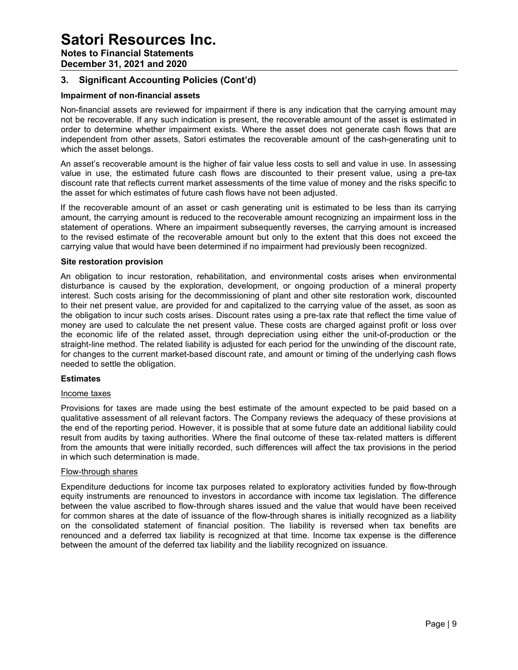Notes to Financial Statements

December 31, 2021 and 2020

## 3. Significant Accounting Policies (Cont'd)

### Impairment of non-financial assets

Non-financial assets are reviewed for impairment if there is any indication that the carrying amount may not be recoverable. If any such indication is present, the recoverable amount of the asset is estimated in order to determine whether impairment exists. Where the asset does not generate cash flows that are independent from other assets, Satori estimates the recoverable amount of the cash-generating unit to which the asset belongs.

An asset's recoverable amount is the higher of fair value less costs to sell and value in use. In assessing value in use, the estimated future cash flows are discounted to their present value, using a pre-tax discount rate that reflects current market assessments of the time value of money and the risks specific to the asset for which estimates of future cash flows have not been adjusted.

If the recoverable amount of an asset or cash generating unit is estimated to be less than its carrying amount, the carrying amount is reduced to the recoverable amount recognizing an impairment loss in the statement of operations. Where an impairment subsequently reverses, the carrying amount is increased to the revised estimate of the recoverable amount but only to the extent that this does not exceed the carrying value that would have been determined if no impairment had previously been recognized.

#### Site restoration provision

An obligation to incur restoration, rehabilitation, and environmental costs arises when environmental disturbance is caused by the exploration, development, or ongoing production of a mineral property interest. Such costs arising for the decommissioning of plant and other site restoration work, discounted to their net present value, are provided for and capitalized to the carrying value of the asset, as soon as the obligation to incur such costs arises. Discount rates using a pre-tax rate that reflect the time value of money are used to calculate the net present value. These costs are charged against profit or loss over the economic life of the related asset, through depreciation using either the unit-of-production or the straight-line method. The related liability is adjusted for each period for the unwinding of the discount rate, for changes to the current market-based discount rate, and amount or timing of the underlying cash flows needed to settle the obligation.

#### **Estimates**

#### Income taxes

Provisions for taxes are made using the best estimate of the amount expected to be paid based on a qualitative assessment of all relevant factors. The Company reviews the adequacy of these provisions at the end of the reporting period. However, it is possible that at some future date an additional liability could result from audits by taxing authorities. Where the final outcome of these tax-related matters is different from the amounts that were initially recorded, such differences will affect the tax provisions in the period in which such determination is made.

#### Flow-through shares

Expenditure deductions for income tax purposes related to exploratory activities funded by flow-through equity instruments are renounced to investors in accordance with income tax legislation. The difference between the value ascribed to flow-through shares issued and the value that would have been received for common shares at the date of issuance of the flow-through shares is initially recognized as a liability on the consolidated statement of financial position. The liability is reversed when tax benefits are renounced and a deferred tax liability is recognized at that time. Income tax expense is the difference between the amount of the deferred tax liability and the liability recognized on issuance.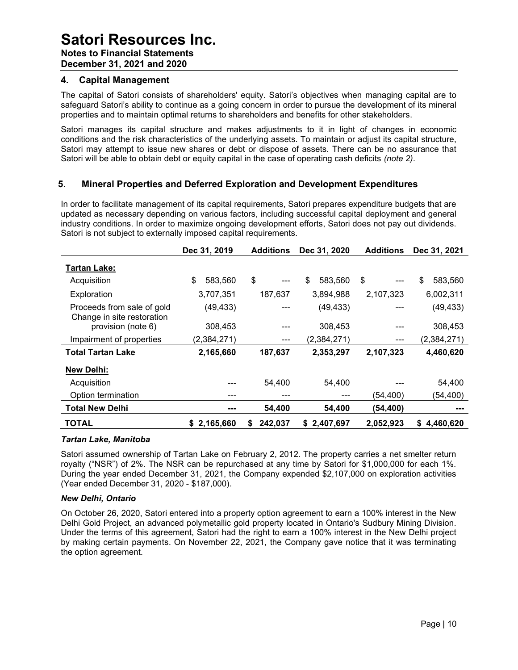December 31, 2021 and 2020

#### 4. Capital Management

The capital of Satori consists of shareholders' equity. Satori's objectives when managing capital are to safeguard Satori's ability to continue as a going concern in order to pursue the development of its mineral properties and to maintain optimal returns to shareholders and benefits for other stakeholders.

Satori manages its capital structure and makes adjustments to it in light of changes in economic conditions and the risk characteristics of the underlying assets. To maintain or adjust its capital structure, Satori may attempt to issue new shares or debt or dispose of assets. There can be no assurance that Satori will be able to obtain debt or equity capital in the case of operating cash deficits *(note 2)*.

### 5. Mineral Properties and Deferred Exploration and Development Expenditures

In order to facilitate management of its capital requirements, Satori prepares expenditure budgets that are updated as necessary depending on various factors, including successful capital deployment and general industry conditions. In order to maximize ongoing development efforts, Satori does not pay out dividends. Satori is not subject to externally imposed capital requirements.

|                                                          | Dec 31, 2019  | <b>Additions</b> | Dec 31, 2020  | <b>Additions</b> | Dec 31, 2021    |
|----------------------------------------------------------|---------------|------------------|---------------|------------------|-----------------|
| <b>Tartan Lake:</b>                                      |               |                  |               |                  |                 |
| Acquisition                                              | \$<br>583,560 | \$<br>---        | 583,560<br>\$ | \$               | \$<br>583,560   |
| Exploration                                              | 3,707,351     | 187,637          | 3,894,988     | 2,107,323        | 6,002,311       |
| Proceeds from sale of gold<br>Change in site restoration | (49, 433)     |                  | (49, 433)     |                  | (49, 433)       |
| provision (note 6)                                       | 308,453       |                  | 308,453       |                  | 308,453         |
| Impairment of properties                                 | (2,384,271)   | ---              | (2,384,271)   | ---              | (2,384,271)     |
| <b>Total Tartan Lake</b>                                 | 2,165,660     | 187,637          | 2,353,297     | 2,107,323        | 4,460,620       |
| New Delhi:                                               |               |                  |               |                  |                 |
| Acquisition                                              |               | 54,400           | 54,400        |                  | 54,400          |
| Option termination                                       | ---           | ---              | ---           | (54, 400)        | (54, 400)       |
| <b>Total New Delhi</b>                                   | ---           | 54,400           | 54,400        | (54, 400)        |                 |
| <b>TOTAL</b>                                             | \$2,165,660   | 242,037<br>S.    | \$2,407,697   | 2,052,923        | 4,460,620<br>S. |

#### Tartan Lake, Manitoba

Satori assumed ownership of Tartan Lake on February 2, 2012. The property carries a net smelter return royalty ("NSR") of 2%. The NSR can be repurchased at any time by Satori for \$1,000,000 for each 1%. During the year ended December 31, 2021, the Company expended \$2,107,000 on exploration activities (Year ended December 31, 2020 - \$187,000).

#### New Delhi, Ontario

On October 26, 2020, Satori entered into a property option agreement to earn a 100% interest in the New Delhi Gold Project, an advanced polymetallic gold property located in Ontario's Sudbury Mining Division. Under the terms of this agreement, Satori had the right to earn a 100% interest in the New Delhi project by making certain payments. On November 22, 2021, the Company gave notice that it was terminating the option agreement.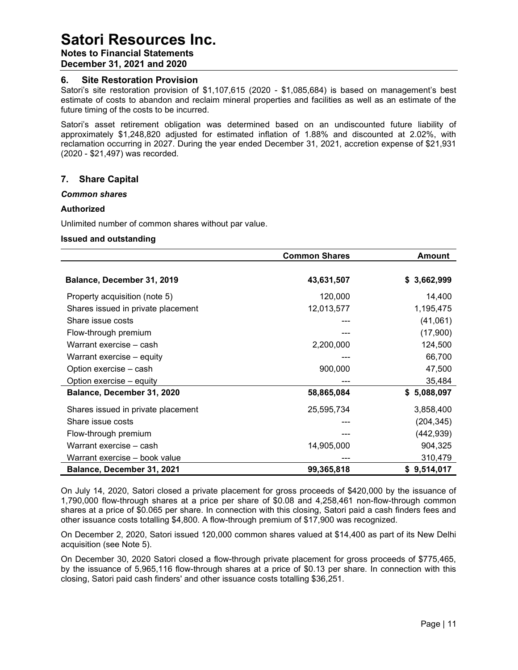## Notes to Financial Statements

December 31, 2021 and 2020

#### 6. Site Restoration Provision

Satori's site restoration provision of \$1,107,615 (2020 - \$1,085,684) is based on management's best estimate of costs to abandon and reclaim mineral properties and facilities as well as an estimate of the future timing of the costs to be incurred.

Satori's asset retirement obligation was determined based on an undiscounted future liability of approximately \$1,248,820 adjusted for estimated inflation of 1.88% and discounted at 2.02%, with reclamation occurring in 2027. During the year ended December 31, 2021, accretion expense of \$21,931 (2020 - \$21,497) was recorded.

### 7. Share Capital

#### Common shares

#### Authorized

Unlimited number of common shares without par value.

#### Issued and outstanding

|                                    | <b>Common Shares</b> | Amount      |
|------------------------------------|----------------------|-------------|
|                                    |                      |             |
| Balance, December 31, 2019         | 43,631,507           | \$3,662,999 |
| Property acquisition (note 5)      | 120,000              | 14,400      |
| Shares issued in private placement | 12,013,577           | 1,195,475   |
| Share issue costs                  |                      | (41,061)    |
| Flow-through premium               |                      | (17,900)    |
| Warrant exercise - cash            | 2,200,000            | 124,500     |
| Warrant exercise - equity          |                      | 66,700      |
| Option exercise - cash             | 900,000              | 47,500      |
| Option exercise – equity           |                      | 35,484      |
| Balance, December 31, 2020         | 58,865,084           | \$5,088,097 |
| Shares issued in private placement | 25,595,734           | 3,858,400   |
| Share issue costs                  |                      | (204, 345)  |
| Flow-through premium               |                      | (442, 939)  |
| Warrant exercise - cash            | 14,905,000           | 904,325     |
| Warrant exercise - book value      |                      | 310,479     |
| Balance, December 31, 2021         | 99,365,818           | \$9,514,017 |

On July 14, 2020, Satori closed a private placement for gross proceeds of \$420,000 by the issuance of 1,790,000 flow-through shares at a price per share of \$0.08 and 4,258,461 non-flow-through common shares at a price of \$0.065 per share. In connection with this closing, Satori paid a cash finders fees and other issuance costs totalling \$4,800. A flow-through premium of \$17,900 was recognized.

On December 2, 2020, Satori issued 120,000 common shares valued at \$14,400 as part of its New Delhi acquisition (see Note 5).

On December 30, 2020 Satori closed a flow-through private placement for gross proceeds of \$775,465, by the issuance of 5,965,116 flow-through shares at a price of \$0.13 per share. In connection with this closing, Satori paid cash finders' and other issuance costs totalling \$36,251.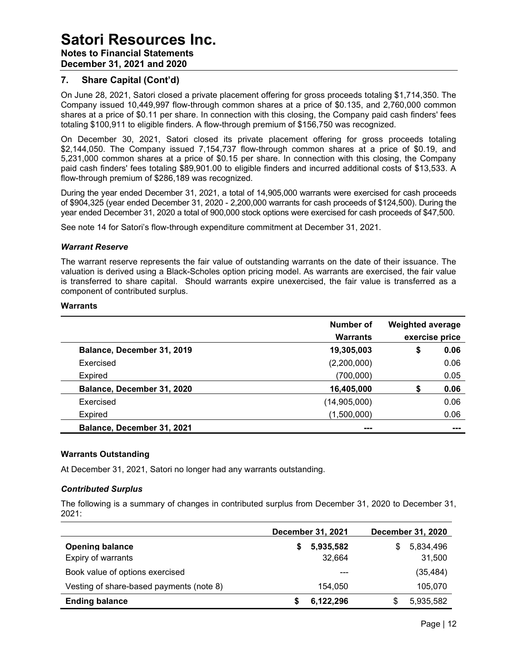## Satori Resources Inc. Notes to Financial Statements December 31, 2021 and 2020

### 7. Share Capital (Cont'd)

On June 28, 2021, Satori closed a private placement offering for gross proceeds totaling \$1,714,350. The Company issued 10,449,997 flow-through common shares at a price of \$0.135, and 2,760,000 common shares at a price of \$0.11 per share. In connection with this closing, the Company paid cash finders' fees totaling \$100,911 to eligible finders. A flow-through premium of \$156,750 was recognized.

On December 30, 2021, Satori closed its private placement offering for gross proceeds totaling \$2,144,050. The Company issued 7,154,737 flow-through common shares at a price of \$0.19, and 5,231,000 common shares at a price of \$0.15 per share. In connection with this closing, the Company paid cash finders' fees totaling \$89,901.00 to eligible finders and incurred additional costs of \$13,533. A flow-through premium of \$286,189 was recognized.

During the year ended December 31, 2021, a total of 14,905,000 warrants were exercised for cash proceeds of \$904,325 (year ended December 31, 2020 - 2,200,000 warrants for cash proceeds of \$124,500). During the year ended December 31, 2020 a total of 900,000 stock options were exercised for cash proceeds of \$47,500.

See note 14 for Satori's flow-through expenditure commitment at December 31, 2021.

#### Warrant Reserve

The warrant reserve represents the fair value of outstanding warrants on the date of their issuance. The valuation is derived using a Black-Scholes option pricing model. As warrants are exercised, the fair value is transferred to share capital. Should warrants expire unexercised, the fair value is transferred as a component of contributed surplus.

#### Warrants

|                            | Number of<br><b>Warrants</b> | <b>Weighted average</b> | exercise price |
|----------------------------|------------------------------|-------------------------|----------------|
| Balance, December 31, 2019 | 19,305,003                   | \$                      | 0.06           |
| Exercised                  | (2,200,000)                  |                         | 0.06           |
| <b>Expired</b>             | (700,000)                    |                         | 0.05           |
| Balance, December 31, 2020 | 16,405,000                   | S                       | 0.06           |
| Exercised                  | (14,905,000)                 |                         | 0.06           |
| Expired                    | (1,500,000)                  |                         | 0.06           |
| Balance, December 31, 2021 | ---                          |                         | ---            |

#### Warrants Outstanding

At December 31, 2021, Satori no longer had any warrants outstanding.

#### Contributed Surplus

The following is a summary of changes in contributed surplus from December 31, 2020 to December 31, 2021:

|                                          | <b>December 31, 2021</b> | <b>December 31, 2020</b> |
|------------------------------------------|--------------------------|--------------------------|
| <b>Opening balance</b>                   | 5,935,582                | 5,834,496<br>S           |
| Expiry of warrants                       | 32,664                   | 31,500                   |
| Book value of options exercised          | ---                      | (35, 484)                |
| Vesting of share-based payments (note 8) | 154,050                  | 105,070                  |
| <b>Ending balance</b>                    | 6,122,296                | 5,935,582<br>S           |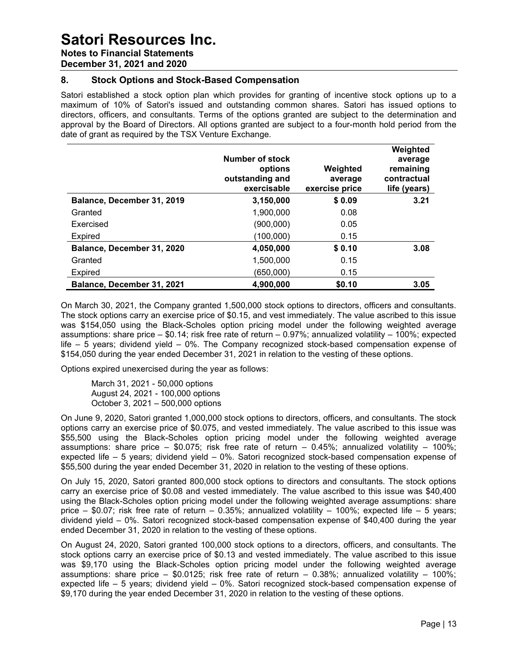Notes to Financial Statements

December 31, 2021 and 2020

### 8. Stock Options and Stock-Based Compensation

Satori established a stock option plan which provides for granting of incentive stock options up to a maximum of 10% of Satori's issued and outstanding common shares. Satori has issued options to directors, officers, and consultants. Terms of the options granted are subject to the determination and approval by the Board of Directors. All options granted are subject to a four-month hold period from the date of grant as required by the TSX Venture Exchange.

|                            | Number of stock<br>options<br>outstanding and<br>exercisable | Weighted<br>average<br>exercise price | Weighted<br>average<br>remaining<br>contractual<br>life (years) |
|----------------------------|--------------------------------------------------------------|---------------------------------------|-----------------------------------------------------------------|
| Balance, December 31, 2019 | 3,150,000                                                    | \$0.09                                | 3.21                                                            |
| Granted                    | 1.900.000                                                    | 0.08                                  |                                                                 |
| Exercised                  | (900,000)                                                    | 0.05                                  |                                                                 |
| Expired                    | (100,000)                                                    | 0.15                                  |                                                                 |
| Balance, December 31, 2020 | 4,050,000                                                    | \$0.10                                | 3.08                                                            |
| Granted                    | 1,500,000                                                    | 0.15                                  |                                                                 |
| Expired                    | (650,000)                                                    | 0.15                                  |                                                                 |
| Balance, December 31, 2021 | 4,900,000                                                    | \$0.10                                | 3.05                                                            |

On March 30, 2021, the Company granted 1,500,000 stock options to directors, officers and consultants. The stock options carry an exercise price of \$0.15, and vest immediately. The value ascribed to this issue was \$154,050 using the Black-Scholes option pricing model under the following weighted average assumptions: share price – \$0.14; risk free rate of return – 0.97%; annualized volatility – 100%; expected life – 5 years; dividend yield – 0%. The Company recognized stock-based compensation expense of \$154,050 during the year ended December 31, 2021 in relation to the vesting of these options.

Options expired unexercised during the year as follows:

March 31, 2021 - 50,000 options August 24, 2021 - 100,000 options October 3, 2021 – 500,000 options

On June 9, 2020, Satori granted 1,000,000 stock options to directors, officers, and consultants. The stock options carry an exercise price of \$0.075, and vested immediately. The value ascribed to this issue was \$55,500 using the Black-Scholes option pricing model under the following weighted average assumptions: share price – \$0.075; risk free rate of return – 0.45%; annualized volatility – 100%; expected life – 5 years; dividend yield – 0%. Satori recognized stock-based compensation expense of \$55,500 during the year ended December 31, 2020 in relation to the vesting of these options.

On July 15, 2020, Satori granted 800,000 stock options to directors and consultants. The stock options carry an exercise price of \$0.08 and vested immediately. The value ascribed to this issue was \$40,400 using the Black-Scholes option pricing model under the following weighted average assumptions: share price – \$0.07; risk free rate of return – 0.35%; annualized volatility – 100%; expected life – 5 years; dividend yield – 0%. Satori recognized stock-based compensation expense of \$40,400 during the year ended December 31, 2020 in relation to the vesting of these options.

On August 24, 2020, Satori granted 100,000 stock options to a directors, officers, and consultants. The stock options carry an exercise price of \$0.13 and vested immediately. The value ascribed to this issue was \$9,170 using the Black-Scholes option pricing model under the following weighted average assumptions: share price  $-$  \$0.0125; risk free rate of return  $-$  0.38%; annualized volatility  $-$  100%; expected life – 5 years; dividend yield – 0%. Satori recognized stock-based compensation expense of \$9,170 during the year ended December 31, 2020 in relation to the vesting of these options.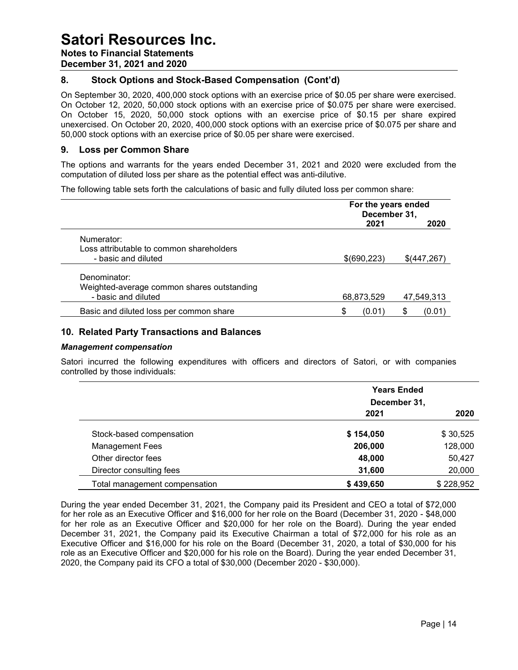Notes to Financial Statements

December 31, 2021 and 2020

## 8. Stock Options and Stock-Based Compensation (Cont'd)

On September 30, 2020, 400,000 stock options with an exercise price of \$0.05 per share were exercised. On October 12, 2020, 50,000 stock options with an exercise price of \$0.075 per share were exercised. On October 15, 2020, 50,000 stock options with an exercise price of \$0.15 per share expired unexercised. On October 20, 2020, 400,000 stock options with an exercise price of \$0.075 per share and 50,000 stock options with an exercise price of \$0.05 per share were exercised.

### 9. Loss per Common Share

The options and warrants for the years ended December 31, 2021 and 2020 were excluded from the computation of diluted loss per share as the potential effect was anti-dilutive.

The following table sets forth the calculations of basic and fully diluted loss per common share:

|                                            | For the years ended<br>December 31, |              |  |
|--------------------------------------------|-------------------------------------|--------------|--|
|                                            | 2021                                | 2020         |  |
| Numerator:                                 |                                     |              |  |
| Loss attributable to common shareholders   |                                     |              |  |
| - basic and diluted                        | \$(690,223)                         | \$(447,267)  |  |
| Denominator:                               |                                     |              |  |
| Weighted-average common shares outstanding |                                     |              |  |
| - basic and diluted                        | 68,873,529                          | 47,549,313   |  |
| Basic and diluted loss per common share    | \$<br>(0.01)                        | \$<br>(0.01) |  |

### 10. Related Party Transactions and Balances

#### Management compensation

Satori incurred the following expenditures with officers and directors of Satori, or with companies controlled by those individuals:

|                               | <b>Years Ended</b> |           |  |
|-------------------------------|--------------------|-----------|--|
|                               | December 31,       |           |  |
|                               | 2021               | 2020      |  |
| Stock-based compensation      | \$154,050          | \$30,525  |  |
| <b>Management Fees</b>        | 206,000            | 128,000   |  |
| Other director fees           | 48,000             | 50,427    |  |
| Director consulting fees      | 31,600             | 20,000    |  |
| Total management compensation | \$439,650          | \$228,952 |  |

During the year ended December 31, 2021, the Company paid its President and CEO a total of \$72,000 for her role as an Executive Officer and \$16,000 for her role on the Board (December 31, 2020 - \$48,000 for her role as an Executive Officer and \$20,000 for her role on the Board). During the year ended December 31, 2021, the Company paid its Executive Chairman a total of \$72,000 for his role as an Executive Officer and \$16,000 for his role on the Board (December 31, 2020, a total of \$30,000 for his role as an Executive Officer and \$20,000 for his role on the Board). During the year ended December 31, 2020, the Company paid its CFO a total of \$30,000 (December 2020 - \$30,000).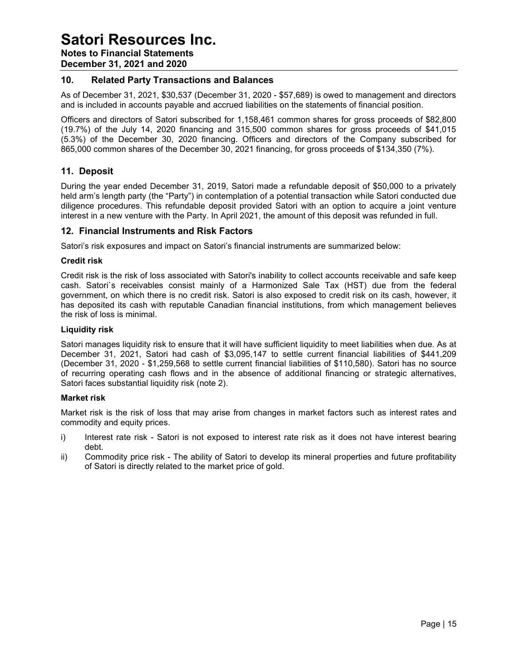Notes to Financial Statements

December 31, 2021 and 2020

### 10. Related Party Transactions and Balances

As of December 31, 2021, \$30,537 (December 31, 2020 - \$57,689) is owed to management and directors and is included in accounts payable and accrued liabilities on the statements of financial position.

Officers and directors of Satori subscribed for 1,158,461 common shares for gross proceeds of \$82,800 (19.7%) of the July 14, 2020 financing and 315,500 common shares for gross proceeds of \$41,015 (5.3%) of the December 30, 2020 financing. Officers and directors of the Company subscribed for 865,000 common shares of the December 30, 2021 financing, for gross proceeds of \$134,350 (7%).

## 11. Deposit

During the year ended December 31, 2019, Satori made a refundable deposit of \$50,000 to a privately held arm's length party (the "Party") in contemplation of a potential transaction while Satori conducted due diligence procedures. This refundable deposit provided Satori with an option to acquire a joint venture interest in a new venture with the Party. In April 2021, the amount of this deposit was refunded in full.

### 12. Financial Instruments and Risk Factors

Satori's risk exposures and impact on Satori's financial instruments are summarized below:

#### Credit risk

Credit risk is the risk of loss associated with Satori's inability to collect accounts receivable and safe keep cash. Satori`s receivables consist mainly of a Harmonized Sale Tax (HST) due from the federal government, on which there is no credit risk. Satori is also exposed to credit risk on its cash, however, it has deposited its cash with reputable Canadian financial institutions, from which management believes the risk of loss is minimal.

#### Liquidity risk

Satori manages liquidity risk to ensure that it will have sufficient liquidity to meet liabilities when due. As at December 31, 2021, Satori had cash of \$3,095,147 to settle current financial liabilities of \$441,209 (December 31, 2020 - \$1,259,568 to settle current financial liabilities of \$110,580). Satori has no source of recurring operating cash flows and in the absence of additional financing or strategic alternatives, Satori faces substantial liquidity risk (note 2).

#### Market risk

Market risk is the risk of loss that may arise from changes in market factors such as interest rates and commodity and equity prices.

- i) Interest rate risk Satori is not exposed to interest rate risk as it does not have interest bearing debt.
- ii) Commodity price risk The ability of Satori to develop its mineral properties and future profitability of Satori is directly related to the market price of gold.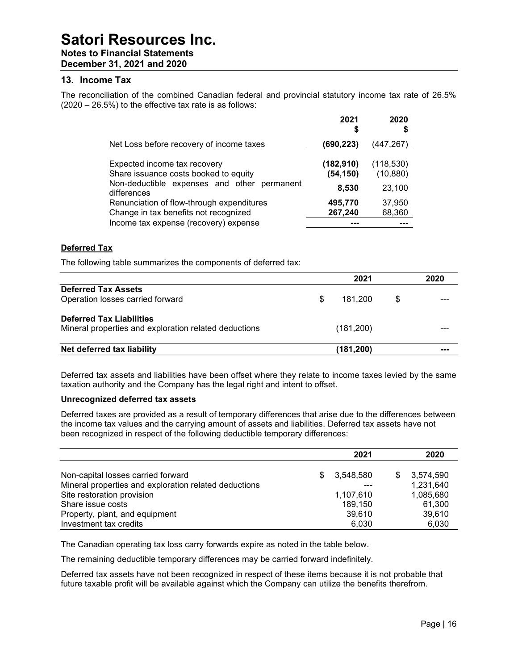Notes to Financial Statements December 31, 2021 and 2020

#### 13. Income Tax

The reconciliation of the combined Canadian federal and provincial statutory income tax rate of 26.5% (2020 – 26.5%) to the effective tax rate is as follows:

|                                                                                                                                     | 2021<br>\$                       | 2020<br>\$                        |
|-------------------------------------------------------------------------------------------------------------------------------------|----------------------------------|-----------------------------------|
| Net Loss before recovery of income taxes                                                                                            | (690,223)                        | (447,267)                         |
| Expected income tax recovery<br>Share issuance costs booked to equity<br>Non-deductible expenses and other permanent<br>differences | (182, 910)<br>(54, 150)<br>8,530 | (118, 530)<br>(10, 880)<br>23,100 |
| Renunciation of flow-through expenditures<br>Change in tax benefits not recognized<br>Income tax expense (recovery) expense         | 495,770<br>267,240               | 37,950<br>68,360                  |

#### Deferred Tax

The following table summarizes the components of deferred tax:

|                                                                                          |   | 2021       |   | 2020 |
|------------------------------------------------------------------------------------------|---|------------|---|------|
| <b>Deferred Tax Assets</b><br>Operation losses carried forward                           | S | 181.200    | S |      |
| <b>Deferred Tax Liabilities</b><br>Mineral properties and exploration related deductions |   | (181, 200) |   |      |
| Net deferred tax liability                                                               |   | (181, 200) |   | ---  |

Deferred tax assets and liabilities have been offset where they relate to income taxes levied by the same taxation authority and the Company has the legal right and intent to offset.

#### Unrecognized deferred tax assets

Deferred taxes are provided as a result of temporary differences that arise due to the differences between the income tax values and the carrying amount of assets and liabilities. Deferred tax assets have not been recognized in respect of the following deductible temporary differences:

|                                                       |     | 2021      |   | 2020      |
|-------------------------------------------------------|-----|-----------|---|-----------|
|                                                       |     |           |   |           |
| Non-capital losses carried forward                    | \$. | 3,548,580 | S | 3,574,590 |
| Mineral properties and exploration related deductions |     | ---       |   | 1,231,640 |
| Site restoration provision                            |     | 1,107,610 |   | 1,085,680 |
| Share issue costs                                     |     | 189.150   |   | 61,300    |
| Property, plant, and equipment                        |     | 39.610    |   | 39.610    |
| Investment tax credits                                |     | 6,030     |   | 6.030     |

The Canadian operating tax loss carry forwards expire as noted in the table below.

The remaining deductible temporary differences may be carried forward indefinitely.

Deferred tax assets have not been recognized in respect of these items because it is not probable that future taxable profit will be available against which the Company can utilize the benefits therefrom.